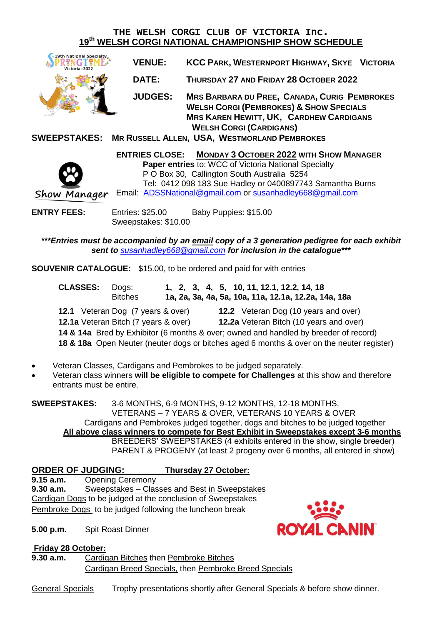## THE WELSH CORGI CLUB OF VICTORIA Inc. **19th WELSH CORGI NATIONAL CHAMPIONSHIP SHOW SCHEDULE**



| <b>VENUE:</b>  | <b>KCC PARK, WESTERNPORT HIGHWAY, SKYE VICTORIA</b>                                                                                                                                           |  |
|----------------|-----------------------------------------------------------------------------------------------------------------------------------------------------------------------------------------------|--|
| <b>DATE:</b>   | THURSDAY 27 AND FRIDAY 28 OCTOBER 2022                                                                                                                                                        |  |
| <b>JUDGES:</b> | <b>MRS BARBARA DU PREE, CANADA, CURIG PEMBROKES</b><br><b>WELSH CORGI (PEMBROKES) &amp; SHOW SPECIALS</b><br><b>MRS KAREN HEWITT, UK, CARDHEW CARDIGANS</b><br><b>WELSH CORGI (CARDIGANS)</b> |  |

**SWEEPSTAKES: MR RUSSELL ALLEN, USA, WESTMORLAND PEMBROKES**

**ENTRIES CLOSE: MONDAY 3 OCTOBER 2022 WITH SHOW MANAGER Paper entries** to: WCC of Victoria National Specialty P O Box 30, Callington South Australia 5254 Tel: 0412 098 183 Sue Hadley or 0400897743 Samantha Burns Show Manager Email: [ADSSNational@gmail.com](mailto:ADSSNational@gmail.com) or [susanhadley668@gmail.com](mailto:susanhadley668@gmail.com)

**ENTRY FEES:** Entries: \$25.00 Baby Puppies: \$15.00 Sweepstakes: \$10.00

*\*\*\*Entries must be accompanied by an email copy of a 3 generation pedigree for each exhibit sent to [susanhadley668@gmail.com](mailto:susanhadley668@gmail.com) for inclusion in the catalogue\*\*\**

**SOUVENIR CATALOGUE:** \$15.00, to be ordered and paid for with entries

| <b>CLASSES:</b>                                                                           | Dogs:<br><b>Bitches</b>                     |  | 1, 2, 3, 4, 5, 10, 11, 12.1, 12.2, 14, 18<br>1a, 2a, 3a, 4a, 5a, 10a, 11a, 12.1a, 12.2a, 14a, 18a |  |
|-------------------------------------------------------------------------------------------|---------------------------------------------|--|---------------------------------------------------------------------------------------------------|--|
|                                                                                           | <b>12.1</b> Veteran Dog (7 years & over)    |  | <b>12.2</b> Veteran Dog (10 years and over)                                                       |  |
|                                                                                           | <b>12.1a</b> Veteran Bitch (7 years & over) |  | <b>12.2a</b> Veteran Bitch (10 years and over)                                                    |  |
| 14 & 14a Bred by Exhibitor (6 months & over; owned and handled by breeder of record)      |                                             |  |                                                                                                   |  |
| 18 & 18a Open Neuter (neuter dogs or bitches aged 6 months & over on the neuter register) |                                             |  |                                                                                                   |  |

- Veteran Classes, Cardigans and Pembrokes to be judged separately.
- Veteran class winners **will be eligible to compete for Challenges** at this show and therefore entrants must be entire.

**SWEEPSTAKES:** 3-6 MONTHS, 6-9 MONTHS, 9-12 MONTHS, 12-18 MONTHS, VETERANS – 7 YEARS & OVER, VETERANS 10 YEARS & OVER Cardigans and Pembrokes judged together, dogs and bitches to be judged together **All above class winners to compete for Best Exhibit in Sweepstakes except 3-6 months** BREEDERS' SWEEPSTAKES (4 exhibits entered in the show, single breeder) PARENT & PROGENY (at least 2 progeny over 6 months, all entered in show)

## **ORDER OF JUDGING: Thursday 27 October:**

**9.15 a.m.** Opening Ceremony

**9.30 a.m.** Sweepstakes – Classes and Best in Sweepstakes Cardigan Dogs to be judged at the conclusion of Sweepstakes Pembroke Dogs to be judged following the luncheon break

**5.00 p.m.** Spit Roast Dinner

**ROYAL CLNIN** 

**Friday 28 October:**

**9.30 a.m.** Cardigan Bitches then Pembroke Bitches Cardigan Breed Specials, then Pembroke Breed Specials

General Specials Trophy presentations shortly after General Specials & before show dinner.